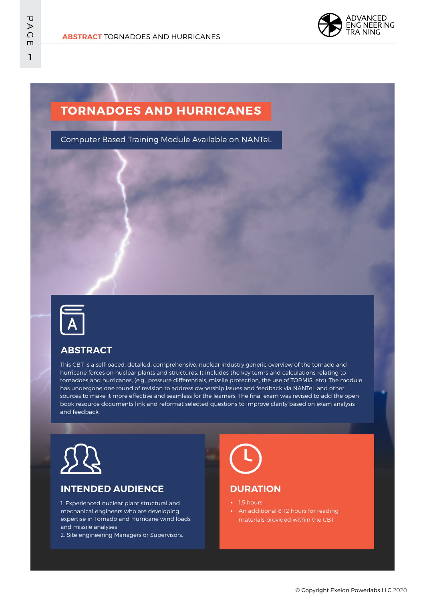

## **TORNADOES AND HURRICANES**

Computer Based Training Module Available on NANTeL



#### **ABSTRACT**

This CBT is a self-paced, detailed, comprehensive, nuclear industry generic overview of the tornado and hurricane forces on nuclear plants and structures. It includes the key terms and calculations relating to tornadoes and hurricanes, (e.g., pressure differentials, missile protection, the use of TORMIS, etc). The module has undergone one round of revision to address ownership issues and feedback via NANTeL and other sources to make it more effective and seamless for the learners. The final exam was revised to add the open book resource documents link and reformat selected questions to improve clarity based on exam analysis and feedback.



#### **INTENDED AUDIENCE**

1. Experienced nuclear plant structural and mechanical engineers who are developing expertise in Tornado and Hurricane wind loads and missile analyses

2. Site engineering Managers or Supervisors.



#### **DURATION**

- 1.5 hours
- **•** An additional 8-12 hours for reading materials provided within the CBT